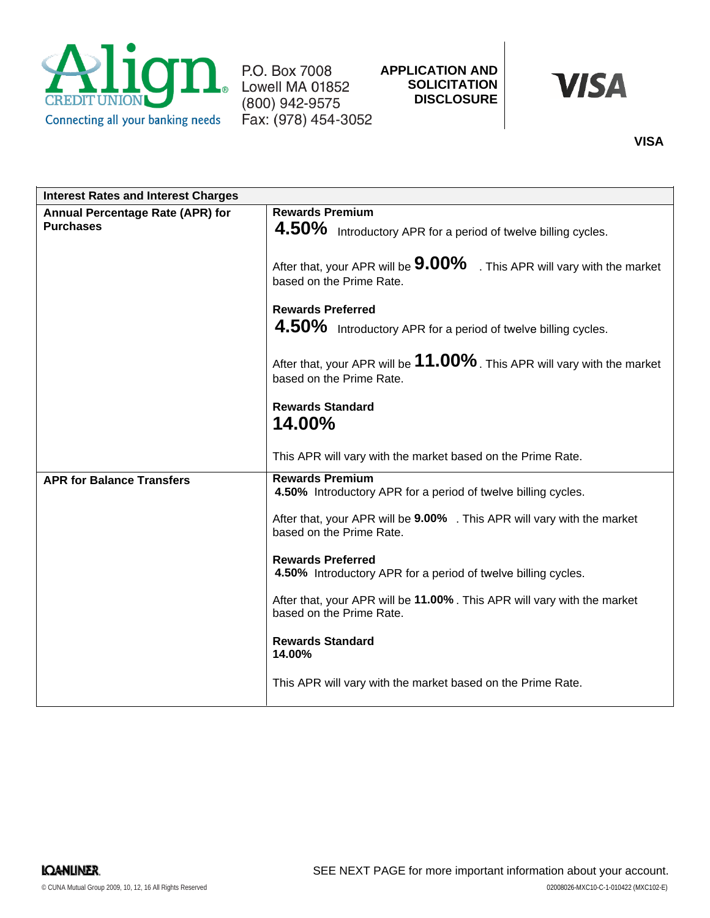

P.O. Box 7008 Lowell MA 01852 (800) 942-9575 Fax: (978) 454-3052



# **VISA**

| <b>Interest Rates and Interest Charges</b>                  |                                                                                                                                                                                                                                                                                                                                                                                                                                                                                                               |
|-------------------------------------------------------------|---------------------------------------------------------------------------------------------------------------------------------------------------------------------------------------------------------------------------------------------------------------------------------------------------------------------------------------------------------------------------------------------------------------------------------------------------------------------------------------------------------------|
| <b>Annual Percentage Rate (APR) for</b><br><b>Purchases</b> | <b>Rewards Premium</b><br>4.50% Introductory APR for a period of twelve billing cycles.<br>After that, your APR will be $9.00\%$ . This APR will vary with the market<br>based on the Prime Rate.<br><b>Rewards Preferred</b><br>4.50% Introductory APR for a period of twelve billing cycles.<br>After that, your APR will be $11.00\%$ . This APR will vary with the market<br>based on the Prime Rate.<br><b>Rewards Standard</b><br>14.00%<br>This APR will vary with the market based on the Prime Rate. |
| <b>APR for Balance Transfers</b>                            | <b>Rewards Premium</b><br>4.50% Introductory APR for a period of twelve billing cycles.<br>After that, your APR will be 9.00% . This APR will vary with the market<br>based on the Prime Rate.<br><b>Rewards Preferred</b><br>4.50% Introductory APR for a period of twelve billing cycles.<br>After that, your APR will be 11.00%. This APR will vary with the market<br>based on the Prime Rate.<br><b>Rewards Standard</b><br>14.00%<br>This APR will vary with the market based on the Prime Rate.        |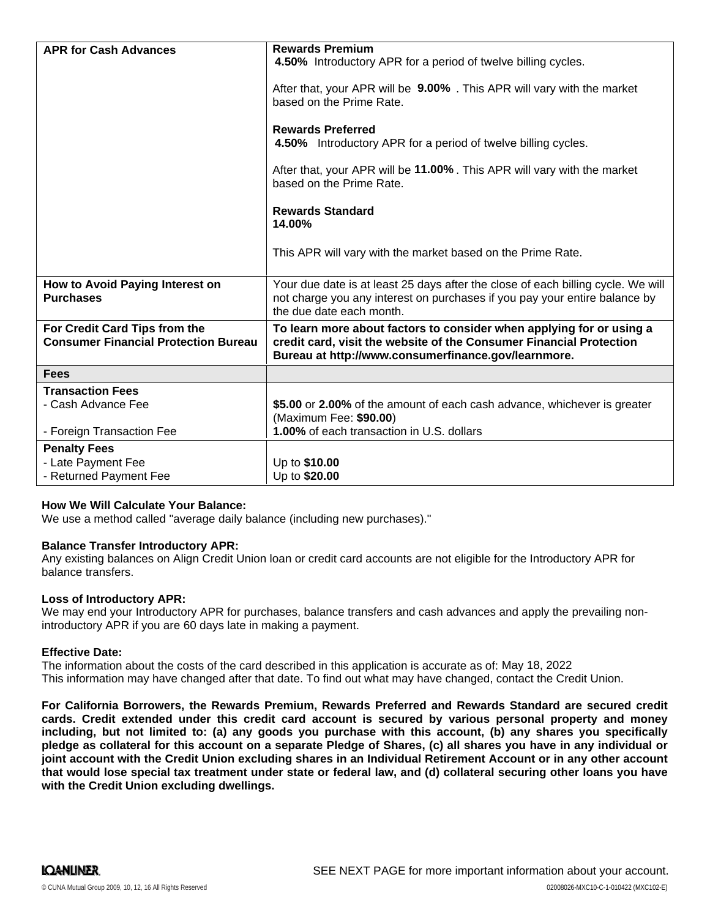| <b>APR for Cash Advances</b>                                                 | <b>Rewards Premium</b><br>4.50% Introductory APR for a period of twelve billing cycles.                                                                                                            |
|------------------------------------------------------------------------------|----------------------------------------------------------------------------------------------------------------------------------------------------------------------------------------------------|
|                                                                              | After that, your APR will be <b>9.00%</b> . This APR will vary with the market<br>based on the Prime Rate.                                                                                         |
|                                                                              | <b>Rewards Preferred</b><br>4.50% Introductory APR for a period of twelve billing cycles.                                                                                                          |
|                                                                              | After that, your APR will be 11.00%. This APR will vary with the market<br>based on the Prime Rate.                                                                                                |
|                                                                              | <b>Rewards Standard</b><br>14.00%                                                                                                                                                                  |
|                                                                              | This APR will vary with the market based on the Prime Rate.                                                                                                                                        |
| How to Avoid Paying Interest on<br><b>Purchases</b>                          | Your due date is at least 25 days after the close of each billing cycle. We will<br>not charge you any interest on purchases if you pay your entire balance by<br>the due date each month.         |
| For Credit Card Tips from the<br><b>Consumer Financial Protection Bureau</b> | To learn more about factors to consider when applying for or using a<br>credit card, visit the website of the Consumer Financial Protection<br>Bureau at http://www.consumerfinance.gov/learnmore. |
| <b>Fees</b>                                                                  |                                                                                                                                                                                                    |
| <b>Transaction Fees</b>                                                      |                                                                                                                                                                                                    |
| - Cash Advance Fee                                                           | \$5.00 or 2.00% of the amount of each cash advance, whichever is greater<br>(Maximum Fee: \$90.00)                                                                                                 |
| - Foreign Transaction Fee                                                    | 1.00% of each transaction in U.S. dollars                                                                                                                                                          |
| <b>Penalty Fees</b>                                                          |                                                                                                                                                                                                    |
| - Late Payment Fee                                                           | Up to \$10.00                                                                                                                                                                                      |
| - Returned Payment Fee                                                       | Up to \$20.00                                                                                                                                                                                      |

## **How We Will Calculate Your Balance:**

We use a method called "average daily balance (including new purchases)."

## **Balance Transfer Introductory APR:**

Any existing balances on Align Credit Union loan or credit card accounts are not eligible for the Introductory APR for balance transfers.

#### **Loss of Introductory APR:**

We may end your Introductory APR for purchases, balance transfers and cash advances and apply the prevailing nonintroductory APR if you are 60 days late in making a payment.

#### **Effective Date:**

The information about the costs of the card described in this application is accurate as of: May 18, 2022This information may have changed after that date. To find out what may have changed, contact the Credit Union.

**For California Borrowers, the Rewards Premium, Rewards Preferred and Rewards Standard are secured credit cards. Credit extended under this credit card account is secured by various personal property and money including, but not limited to: (a) any goods you purchase with this account, (b) any shares you specifically pledge as collateral for this account on a separate Pledge of Shares, (c) all shares you have in any individual or joint account with the Credit Union excluding shares in an Individual Retirement Account or in any other account that would lose special tax treatment under state or federal law, and (d) collateral securing other loans you have with the Credit Union excluding dwellings.**